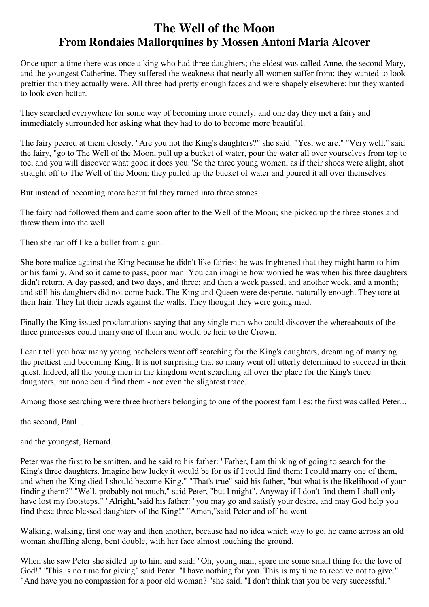## **The Well of the Moon From Rondaies Mallorquines by Mossen Antoni Maria Alcover**

Once upon a time there was once a king who had three daughters; the eldest was called Anne, the second Mary, and the youngest Catherine. They suffered the weakness that nearly all women suffer from; they wanted to look prettier than they actually were. All three had pretty enough faces and were shapely elsewhere; but they wanted to look even better.

They searched everywhere for some way of becoming more comely, and one day they met a fairy and immediately surrounded her asking what they had to do to become more beautiful.

The fairy peered at them closely. "Are you not the King's daughters?" she said. "Yes, we are." "Very well," said the fairy, "go to The Well of the Moon, pull up a bucket of water, pour the water all over yourselves from top to toe, and you will discover what good it does you."So the three young women, as if their shoes were alight, shot straight off to The Well of the Moon; they pulled up the bucket of water and poured it all over themselves.

But instead of becoming more beautiful they turned into three stones.

The fairy had followed them and came soon after to the Well of the Moon; she picked up the three stones and threw them into the well.

Then she ran off like a bullet from a gun.

She bore malice against the King because he didn't like fairies; he was frightened that they might harm to him or his family. And so it came to pass, poor man. You can imagine how worried he was when his three daughters didn't return. A day passed, and two days, and three; and then a week passed, and another week, and a month; and still his daughters did not come back. The King and Queen were desperate, naturally enough. They tore at their hair. They hit their heads against the walls. They thought they were going mad.

Finally the King issued proclamations saying that any single man who could discover the whereabouts of the three princesses could marry one of them and would be heir to the Crown.

I can't tell you how many young bachelors went off searching for the King's daughters, dreaming of marrying the prettiest and becoming King. It is not surprising that so many went off utterly determined to succeed in their quest. Indeed, all the young men in the kingdom went searching all over the place for the King's three daughters, but none could find them - not even the slightest trace.

Among those searching were three brothers belonging to one of the poorest families: the first was called Peter...

the second, Paul...

and the youngest, Bernard.

Peter was the first to be smitten, and he said to his father: "Father, I am thinking of going to search for the King's three daughters. Imagine how lucky it would be for us if I could find them: I could marry one of them, and when the King died I should become King." "That's true" said his father, "but what is the likelihood of your finding them?" "Well, probably not much," said Peter, "but I might". Anyway if I don't find them I shall only have lost my footsteps." "Alright,"said his father: "you may go and satisfy your desire, and may God help you find these three blessed daughters of the King!" "Amen,"said Peter and off he went.

Walking, walking, first one way and then another, because had no idea which way to go, he came across an old woman shuffling along, bent double, with her face almost touching the ground.

When she saw Peter she sidled up to him and said: "Oh, young man, spare me some small thing for the love of God!" "This is no time for giving" said Peter. "I have nothing for you. This is my time to receive not to give." "And have you no compassion for a poor old woman? "she said. "I don't think that you be very successful."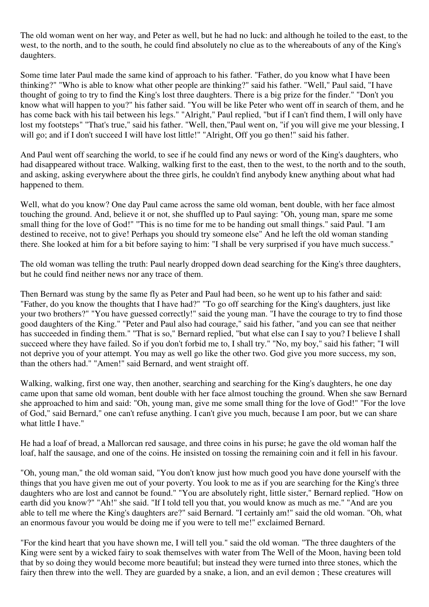The old woman went on her way, and Peter as well, but he had no luck: and although he toiled to the east, to the west, to the north, and to the south, he could find absolutely no clue as to the whereabouts of any of the King's daughters.

Some time later Paul made the same kind of approach to his father. "Father, do you know what I have been thinking?" "Who is able to know what other people are thinking?" said his father. "Well," Paul said, "I have thought of going to try to find the King's lost three daughters. There is a big prize for the finder." "Don't you know what will happen to you?" his father said. "You will be like Peter who went off in search of them, and he has come back with his tail between his legs." "Alright," Paul replied, "but if I can't find them, I will only have lost my footsteps" "That's true," said his father. "Well, then,"Paul went on, "if you will give me your blessing, I will go; and if I don't succeed I will have lost little!" "Alright, Off you go then!" said his father.

And Paul went off searching the world, to see if he could find any news or word of the King's daughters, who had disappeared without trace. Walking, walking first to the east, then to the west, to the north and to the south, and asking, asking everywhere about the three girls, he couldn't find anybody knew anything about what had happened to them.

Well, what do you know? One day Paul came across the same old woman, bent double, with her face almost touching the ground. And, believe it or not, she shuffled up to Paul saying: "Oh, young man, spare me some small thing for the love of God!" "This is no time for me to be handing out small things." said Paul. "I am destined to receive, not to give! Perhaps you should try someone else" And he left the old woman standing there. She looked at him for a bit before saying to him: "I shall be very surprised if you have much success."

The old woman was telling the truth: Paul nearly dropped down dead searching for the King's three daughters, but he could find neither news nor any trace of them.

Then Bernard was stung by the same fly as Peter and Paul had been, so he went up to his father and said: "Father, do you know the thoughts that I have had?" "To go off searching for the King's daughters, just like your two brothers?" "You have guessed correctly!" said the young man. "I have the courage to try to find those good daughters of the King." "Peter and Paul also had courage," said his father, "and you can see that neither has succeeded in finding them." "That is so," Bernard replied, "but what else can I say to you? I believe I shall succeed where they have failed. So if you don't forbid me to, I shall try." "No, my boy," said his father; "I will not deprive you of your attempt. You may as well go like the other two. God give you more success, my son, than the others had." "Amen!" said Bernard, and went straight off.

Walking, walking, first one way, then another, searching and searching for the King's daughters, he one day came upon that same old woman, bent double with her face almost touching the ground. When she saw Bernard she approached to him and said: "Oh, young man, give me some small thing for the love of God!" "For the love of God," said Bernard," one can't refuse anything. I can't give you much, because I am poor, but we can share what little I have."

He had a loaf of bread, a Mallorcan red sausage, and three coins in his purse; he gave the old woman half the loaf, half the sausage, and one of the coins. He insisted on tossing the remaining coin and it fell in his favour.

"Oh, young man," the old woman said, "You don't know just how much good you have done yourself with the things that you have given me out of your poverty. You look to me as if you are searching for the King's three daughters who are lost and cannot be found." "You are absolutely right, little sister," Bernard replied. "How on earth did you know?" "Ah!" she said. "If I told tell you that, you would know as much as me." "And are you able to tell me where the King's daughters are?" said Bernard. "I certainly am!" said the old woman. "Oh, what an enormous favour you would be doing me if you were to tell me!" exclaimed Bernard.

"For the kind heart that you have shown me, I will tell you." said the old woman. "The three daughters of the King were sent by a wicked fairy to soak themselves with water from The Well of the Moon, having been told that by so doing they would become more beautiful; but instead they were turned into three stones, which the fairy then threw into the well. They are guarded by a snake, a lion, and an evil demon ; These creatures will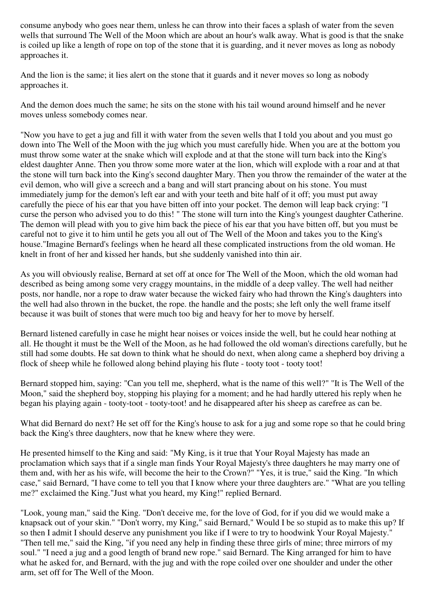consume anybody who goes near them, unless he can throw into their faces a splash of water from the seven wells that surround The Well of the Moon which are about an hour's walk away. What is good is that the snake is coiled up like a length of rope on top of the stone that it is guarding, and it never moves as long as nobody approaches it.

And the lion is the same; it lies alert on the stone that it guards and it never moves so long as nobody approaches it.

And the demon does much the same; he sits on the stone with his tail wound around himself and he never moves unless somebody comes near.

"Now you have to get a jug and fill it with water from the seven wells that I told you about and you must go down into The Well of the Moon with the jug which you must carefully hide. When you are at the bottom you must throw some water at the snake which will explode and at that the stone will turn back into the King's eldest daughter Anne. Then you throw some more water at the lion, which will explode with a roar and at that the stone will turn back into the King's second daughter Mary. Then you throw the remainder of the water at the evil demon, who will give a screech and a bang and will start prancing about on his stone. You must immediately jump for the demon's left ear and with your teeth and bite half of it off; you must put away carefully the piece of his ear that you have bitten off into your pocket. The demon will leap back crying: "I curse the person who advised you to do this! " The stone will turn into the King's youngest daughter Catherine. The demon will plead with you to give him back the piece of his ear that you have bitten off, but you must be careful not to give it to him until he gets you all out of The Well of the Moon and takes you to the King's house."Imagine Bernard's feelings when he heard all these complicated instructions from the old woman. He knelt in front of her and kissed her hands, but she suddenly vanished into thin air.

As you will obviously realise, Bernard at set off at once for The Well of the Moon, which the old woman had described as being among some very craggy mountains, in the middle of a deep valley. The well had neither posts, nor handle, nor a rope to draw water because the wicked fairy who had thrown the King's daughters into the well had also thrown in the bucket, the rope. the handle and the posts; she left only the well frame itself because it was built of stones that were much too big and heavy for her to move by herself.

Bernard listened carefully in case he might hear noises or voices inside the well, but he could hear nothing at all. He thought it must be the Well of the Moon, as he had followed the old woman's directions carefully, but he still had some doubts. He sat down to think what he should do next, when along came a shepherd boy driving a flock of sheep while he followed along behind playing his flute - tooty toot - tooty toot!

Bernard stopped him, saying: "Can you tell me, shepherd, what is the name of this well?" "It is The Well of the Moon," said the shepherd boy, stopping his playing for a moment; and he had hardly uttered his reply when he began his playing again - tooty-toot - tooty-toot! and he disappeared after his sheep as carefree as can be.

What did Bernard do next? He set off for the King's house to ask for a jug and some rope so that he could bring back the King's three daughters, now that he knew where they were.

He presented himself to the King and said: "My King, is it true that Your Royal Majesty has made an proclamation which says that if a single man finds Your Royal Majesty's three daughters he may marry one of them and, with her as his wife, will become the heir to the Crown?" "Yes, it is true," said the King. "In which case," said Bernard, "I have come to tell you that I know where your three daughters are." "What are you telling me?" exclaimed the King."Just what you heard, my King!" replied Bernard.

"Look, young man," said the King. "Don't deceive me, for the love of God, for if you did we would make a knapsack out of your skin." "Don't worry, my King," said Bernard," Would I be so stupid as to make this up? If so then I admit I should deserve any punishment you like if I were to try to hoodwink Your Royal Majesty." "Then tell me," said the King, "if you need any help in finding these three girls of mine; three mirrors of my soul." "I need a jug and a good length of brand new rope." said Bernard. The King arranged for him to have what he asked for, and Bernard, with the jug and with the rope coiled over one shoulder and under the other arm, set off for The Well of the Moon.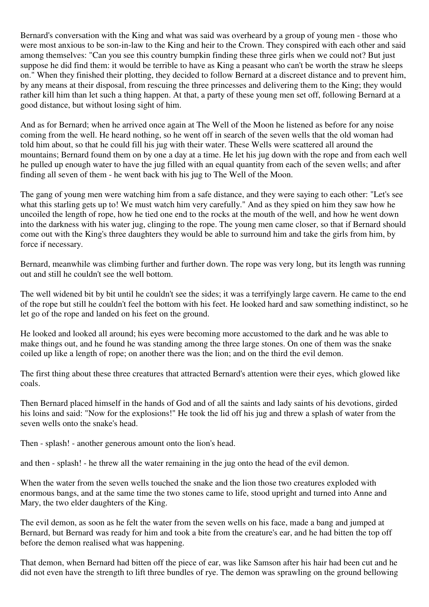Bernard's conversation with the King and what was said was overheard by a group of young men - those who were most anxious to be son-in-law to the King and heir to the Crown. They conspired with each other and said among themselves: "Can you see this country bumpkin finding these three girls when we could not? But just suppose he did find them: it would be terrible to have as King a peasant who can't be worth the straw he sleeps on." When they finished their plotting, they decided to follow Bernard at a discreet distance and to prevent him, by any means at their disposal, from rescuing the three princesses and delivering them to the King; they would rather kill him than let such a thing happen. At that, a party of these young men set off, following Bernard at a good distance, but without losing sight of him.

And as for Bernard; when he arrived once again at The Well of the Moon he listened as before for any noise coming from the well. He heard nothing, so he went off in search of the seven wells that the old woman had told him about, so that he could fill his jug with their water. These Wells were scattered all around the mountains; Bernard found them on by one a day at a time. He let his jug down with the rope and from each well he pulled up enough water to have the jug filled with an equal quantity from each of the seven wells; and after finding all seven of them - he went back with his jug to The Well of the Moon.

The gang of young men were watching him from a safe distance, and they were saying to each other: "Let's see what this starling gets up to! We must watch him very carefully." And as they spied on him they saw how he uncoiled the length of rope, how he tied one end to the rocks at the mouth of the well, and how he went down into the darkness with his water jug, clinging to the rope. The young men came closer, so that if Bernard should come out with the King's three daughters they would be able to surround him and take the girls from him, by force if necessary.

Bernard, meanwhile was climbing further and further down. The rope was very long, but its length was running out and still he couldn't see the well bottom.

The well widened bit by bit until he couldn't see the sides; it was a terrifyingly large cavern. He came to the end of the rope but still he couldn't feel the bottom with his feet. He looked hard and saw something indistinct, so he let go of the rope and landed on his feet on the ground.

He looked and looked all around; his eyes were becoming more accustomed to the dark and he was able to make things out, and he found he was standing among the three large stones. On one of them was the snake coiled up like a length of rope; on another there was the lion; and on the third the evil demon.

The first thing about these three creatures that attracted Bernard's attention were their eyes, which glowed like coals.

Then Bernard placed himself in the hands of God and of all the saints and lady saints of his devotions, girded his loins and said: "Now for the explosions!" He took the lid off his jug and threw a splash of water from the seven wells onto the snake's head.

Then - splash! - another generous amount onto the lion's head.

and then - splash! - he threw all the water remaining in the jug onto the head of the evil demon.

When the water from the seven wells touched the snake and the lion those two creatures exploded with enormous bangs, and at the same time the two stones came to life, stood upright and turned into Anne and Mary, the two elder daughters of the King.

The evil demon, as soon as he felt the water from the seven wells on his face, made a bang and jumped at Bernard, but Bernard was ready for him and took a bite from the creature's ear, and he had bitten the top off before the demon realised what was happening.

That demon, when Bernard had bitten off the piece of ear, was like Samson after his hair had been cut and he did not even have the strength to lift three bundles of rye. The demon was sprawling on the ground bellowing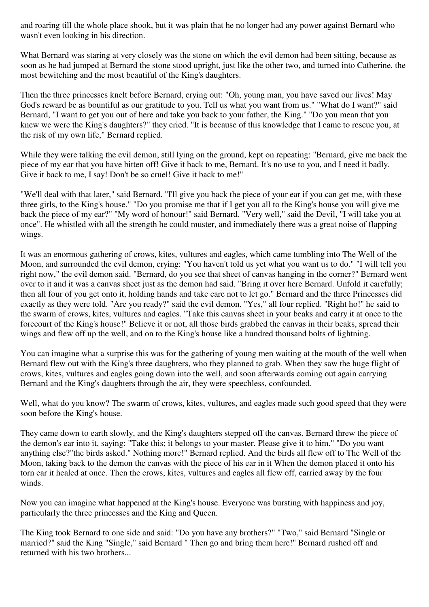and roaring till the whole place shook, but it was plain that he no longer had any power against Bernard who wasn't even looking in his direction.

What Bernard was staring at very closely was the stone on which the evil demon had been sitting, because as soon as he had jumped at Bernard the stone stood upright, just like the other two, and turned into Catherine, the most bewitching and the most beautiful of the King's daughters.

Then the three princesses knelt before Bernard, crying out: "Oh, young man, you have saved our lives! May God's reward be as bountiful as our gratitude to you. Tell us what you want from us." "What do I want?" said Bernard, "I want to get you out of here and take you back to your father, the King." "Do you mean that you knew we were the King's daughters?" they cried. "It is because of this knowledge that I came to rescue you, at the risk of my own life," Bernard replied.

While they were talking the evil demon, still lying on the ground, kept on repeating: "Bernard, give me back the piece of my ear that you have bitten off! Give it back to me, Bernard. It's no use to you, and I need it badly. Give it back to me, I say! Don't be so cruel! Give it back to me!"

"We'll deal with that later," said Bernard. "I'll give you back the piece of your ear if you can get me, with these three girls, to the King's house." "Do you promise me that if I get you all to the King's house you will give me back the piece of my ear?" "My word of honour!" said Bernard. "Very well," said the Devil, "I will take you at once". He whistled with all the strength he could muster, and immediately there was a great noise of flapping wings.

It was an enormous gathering of crows, kites, vultures and eagles, which came tumbling into The Well of the Moon, and surrounded the evil demon, crying: "You haven't told us yet what you want us to do." "I will tell you right now," the evil demon said. "Bernard, do you see that sheet of canvas hanging in the corner?" Bernard went over to it and it was a canvas sheet just as the demon had said. "Bring it over here Bernard. Unfold it carefully; then all four of you get onto it, holding hands and take care not to let go." Bernard and the three Princesses did exactly as they were told. "Are you ready?" said the evil demon. "Yes," all four replied. "Right ho!" he said to the swarm of crows, kites, vultures and eagles. "Take this canvas sheet in your beaks and carry it at once to the forecourt of the King's house!" Believe it or not, all those birds grabbed the canvas in their beaks, spread their wings and flew off up the well, and on to the King's house like a hundred thousand bolts of lightning.

You can imagine what a surprise this was for the gathering of young men waiting at the mouth of the well when Bernard flew out with the King's three daughters, who they planned to grab. When they saw the huge flight of crows, kites, vultures and eagles going down into the well, and soon afterwards coming out again carrying Bernard and the King's daughters through the air, they were speechless, confounded.

Well, what do you know? The swarm of crows, kites, vultures, and eagles made such good speed that they were soon before the King's house.

They came down to earth slowly, and the King's daughters stepped off the canvas. Bernard threw the piece of the demon's ear into it, saying: "Take this; it belongs to your master. Please give it to him." "Do you want anything else?"the birds asked." Nothing more!" Bernard replied. And the birds all flew off to The Well of the Moon, taking back to the demon the canvas with the piece of his ear in it When the demon placed it onto his torn ear it healed at once. Then the crows, kites, vultures and eagles all flew off, carried away by the four winds.

Now you can imagine what happened at the King's house. Everyone was bursting with happiness and joy, particularly the three princesses and the King and Queen.

The King took Bernard to one side and said: "Do you have any brothers?" "Two," said Bernard "Single or married?" said the King "Single," said Bernard " Then go and bring them here!" Bernard rushed off and returned with his two brothers...